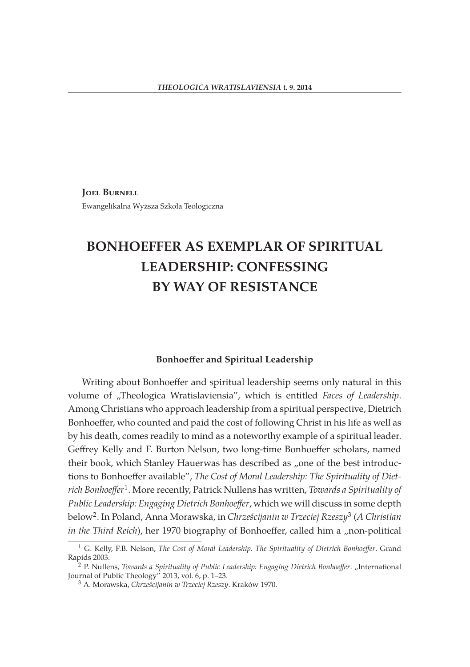**Joel Burnell** Ewangelikalna Wyższa Szkoła Teologiczna

# **BONHOEFFER AS EXEMPLAR OF SPIRITUAL LEADERSHIP: CONFESSING BY WAY OF RESISTANCE**

### **Bonhoeffer and Spiritual Leadership**

Writing about Bonhoeffer and spiritual leadership seems only natural in this volume of "Theologica Wratislaviensia", which is entitled *Faces of Leadership*. Among Christians who approach leadership from a spiritual perspective, Dietrich Bonhoeffer, who counted and paid the cost of following Christ in his life as well as by his death, comes readily to mind as a noteworthy example of a spiritual leader. Geffrey Kelly and F. Burton Nelson, two long-time Bonhoeffer scholars, named their book, which Stanley Hauerwas has described as "one of the best introductions to Bonhoeffer available", *The Cost of Moral Leadership: The Spirituality of Dietrich Bonhoeffer*1. More recently, Patrick Nullens has written, *Towards a Spirituality of Public Leadership: Engaging Dietrich Bonhoeffer*, which we will discuss in some depth below2. In Poland, Anna Morawska, in *Chrześcijanin w Trzeciej Rzeszy*<sup>3</sup> (*A Christian in the Third Reich*), her 1970 biography of Bonhoeffer, called him a "non-political

<sup>1</sup> G. Kelly, F.B. Nelson, *The Cost of Moral Leadership. The Spirituality of Dietrich Bonhoeffer*. Grand Rapids 2003.

<sup>&</sup>lt;sup>2</sup> P. Nullens, *Towards a Spirituality of Public Leadership: Engaging Dietrich Bonhoeffer. "International* Journal of Public Theology" 2013, vol. 6, p. 1–23.

<sup>3</sup> A. Morawska, *Chrześcijanin w Trzeciej Rzeszy*. Kraków 1970.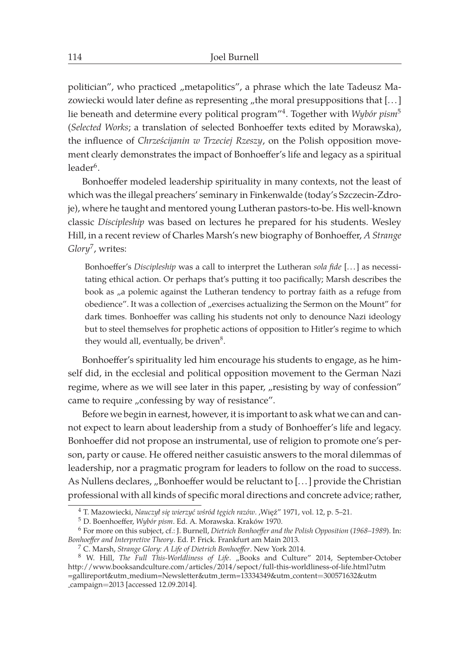politician", who practiced "metapolitics", a phrase which the late Tadeusz Mazowiecki would later define as representing "the moral presuppositions that [...] lie beneath and determine every political program"4. Together with *Wybór pism*<sup>5</sup> (*Selected Works*; a translation of selected Bonhoeffer texts edited by Morawska), the influence of *Chrześcijanin w Trzeciej Rzeszy*, on the Polish opposition movement clearly demonstrates the impact of Bonhoeffer's life and legacy as a spiritual  $leader<sup>6</sup>$ .

Bonhoeffer modeled leadership spirituality in many contexts, not the least of which was the illegal preachers' seminary in Finkenwalde (today's Szczecin-Zdroje), where he taught and mentored young Lutheran pastors-to-be. His well-known classic *Discipleship* was based on lectures he prepared for his students. Wesley Hill, in a recent review of Charles Marsh's new biography of Bonhoeffer, *A Strange Glory*7, writes:

Bonhoeffer's *Discipleship* was a call to interpret the Lutheran *sola fide* [... ] as necessitating ethical action. Or perhaps that's putting it too pacifically; Marsh describes the book as "a polemic against the Lutheran tendency to portray faith as a refuge from obedience". It was a collection of "exercises actualizing the Sermon on the Mount" for dark times. Bonhoeffer was calling his students not only to denounce Nazi ideology but to steel themselves for prophetic actions of opposition to Hitler's regime to which they would all, eventually, be driven<sup>8</sup>.

Bonhoeffer's spirituality led him encourage his students to engage, as he himself did, in the ecclesial and political opposition movement to the German Nazi regime, where as we will see later in this paper, "resisting by way of confession" came to require "confessing by way of resistance".

Before we begin in earnest, however, it is important to ask what we can and cannot expect to learn about leadership from a study of Bonhoeffer's life and legacy. Bonhoeffer did not propose an instrumental, use of religion to promote one's person, party or cause. He offered neither casuistic answers to the moral dilemmas of leadership, nor a pragmatic program for leaders to follow on the road to success. As Nullens declares, "Bonhoeffer would be reluctant to [...] provide the Christian professional with all kinds of specific moral directions and concrete advice; rather,

<sup>&</sup>lt;sup>4</sup> T. Mazowiecki, Nauczył się wierzyć wśród tęgich razów. ,Więź" 1971, vol. 12, p. 5–21.

<sup>5</sup> D. Boenhoeffer, *Wybór pism*. Ed. A. Morawska. Kraków 1970.

<sup>6</sup> For more on this subject, cf.: J. Burnell, *Dietrich Bonhoeffer and the Polish Opposition* (*1968–1989*). In: *Bonhoeffer and Interpretive Theory*. Ed. P. Frick. Frankfurt am Main 2013.

<sup>7</sup> C. Marsh, *Strange Glory: A Life of Dietrich Bonhoeffer*. New York 2014.

<sup>&</sup>lt;sup>8</sup> W. Hill, *The Full This-Worldliness of Life.* "Books and Culture" 2014, September-October http://www.booksandculture.com/articles/2014/sepoct/full-this-worldliness-of-life.html?utm =gallireport&utm medium=Newsletter&utm term=13334349&utm content=300571632&utm campaign=2013 [accessed 12.09.2014].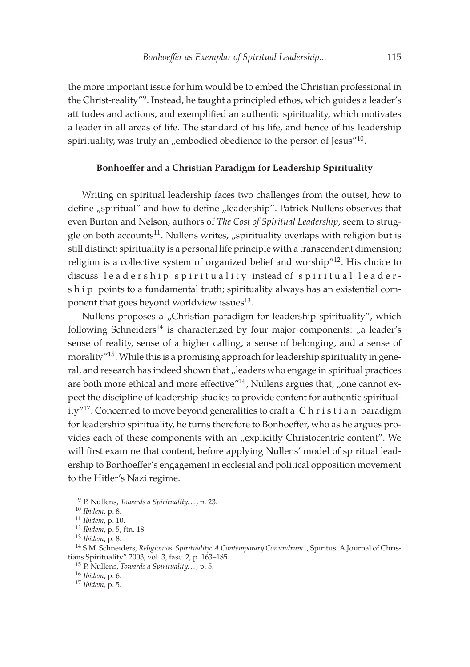the more important issue for him would be to embed the Christian professional in the Christ-reality"9. Instead, he taught a principled ethos, which guides a leader's attitudes and actions, and exemplified an authentic spirituality, which motivates a leader in all areas of life. The standard of his life, and hence of his leadership spirituality, was truly an "embodied obedience to the person of Jesus" $10$ .

## **Bonhoeffer and a Christian Paradigm for Leadership Spirituality**

Writing on spiritual leadership faces two challenges from the outset, how to define "spiritual" and how to define "leadership". Patrick Nullens observes that even Burton and Nelson, authors of *The Cost of Spiritual Leadership*, seem to struggle on both accounts<sup>11</sup>. Nullens writes,  $\mu$ spirituality overlaps with religion but is still distinct: spirituality is a personal life principle with a transcendent dimension; religion is a collective system of organized belief and worship"12. His choice to discuss leadership spirituality instead of spiritual leadership points to a fundamental truth; spirituality always has an existential component that goes beyond worldview issues $^{13}$ .

Nullens proposes a "Christian paradigm for leadership spirituality", which following Schneiders<sup>14</sup> is characterized by four major components:  $n$ a leader's sense of reality, sense of a higher calling, a sense of belonging, and a sense of morality"15. While this is a promising approach for leadership spirituality in general, and research has indeed shown that "leaders who engage in spiritual practices are both more ethical and more effective" $16$ , Nullens argues that, "one cannot expect the discipline of leadership studies to provide content for authentic spirituality"<sup>17</sup>. Concerned to move beyond generalities to craft a  $C$  h r i s t i a n paradigm for leadership spirituality, he turns therefore to Bonhoeffer, who as he argues provides each of these components with an "explicitly Christocentric content". We will first examine that content, before applying Nullens' model of spiritual leadership to Bonhoeffer's engagement in ecclesial and political opposition movement to the Hitler's Nazi regime.

<sup>9</sup> P. Nullens, *Towards a Spirituality. . .*, p. 23.

<sup>10</sup> *Ibidem*, p. 8.

<sup>11</sup> *Ibidem*, p. 10.

<sup>12</sup> *Ibidem*, p. 5, ftn. 18.

<sup>13</sup> *Ibidem*, p. 8.

<sup>&</sup>lt;sup>14</sup> S.M. Schneiders, *Religion vs. Spirituality: A Contemporary Conundrum.* "Spiritus: A Journal of Christians Spirituality" 2003, vol. 3, fasc. 2, p. 163–185.

<sup>15</sup> P. Nullens, *Towards a Spirituality. . .*, p. 5.

<sup>16</sup> *Ibidem*, p. 6.

<sup>17</sup> *Ibidem*, p. 5.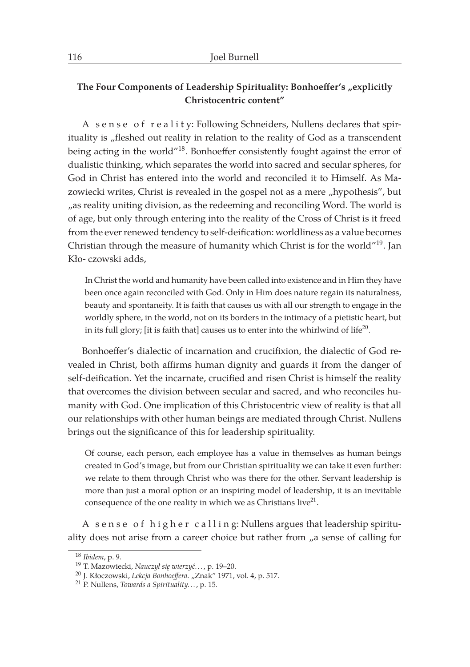## The Four Components of Leadership Spirituality: Bonhoeffer's "explicitly **Christocentric content"**

A sense of reality: Following Schneiders, Nullens declares that spirituality is "fleshed out reality in relation to the reality of God as a transcendent being acting in the world"<sup>18</sup>. Bonhoeffer consistently fought against the error of dualistic thinking, which separates the world into sacred and secular spheres, for God in Christ has entered into the world and reconciled it to Himself. As Mazowiecki writes, Christ is revealed in the gospel not as a mere "hypothesis", but ", as reality uniting division, as the redeeming and reconciling Word. The world is of age, but only through entering into the reality of the Cross of Christ is it freed from the ever renewed tendency to self-deification: worldliness as a value becomes Christian through the measure of humanity which Christ is for the world"<sup>19</sup>. Jan Kło- czowski adds,

In Christ the world and humanity have been called into existence and in Him they have been once again reconciled with God. Only in Him does nature regain its naturalness, beauty and spontaneity. It is faith that causes us with all our strength to engage in the worldly sphere, in the world, not on its borders in the intimacy of a pietistic heart, but in its full glory; [it is faith that] causes us to enter into the whirlwind of  $life^{20}$ .

Bonhoeffer's dialectic of incarnation and crucifixion, the dialectic of God revealed in Christ, both affirms human dignity and guards it from the danger of self-deification. Yet the incarnate, crucified and risen Christ is himself the reality that overcomes the division between secular and sacred, and who reconciles humanity with God. One implication of this Christocentric view of reality is that all our relationships with other human beings are mediated through Christ. Nullens brings out the significance of this for leadership spirituality.

Of course, each person, each employee has a value in themselves as human beings created in God's image, but from our Christian spirituality we can take it even further: we relate to them through Christ who was there for the other. Servant leadership is more than just a moral option or an inspiring model of leadership, it is an inevitable consequence of the one reality in which we as Christians live<sup>21</sup>.

A sense of higher calling: Nullens argues that leadership spirituality does not arise from a career choice but rather from  $\mu$  sense of calling for

<sup>18</sup> *Ibidem*, p. 9.

<sup>19</sup> T. Mazowiecki, *Nauczył się wierzyć. . .* , p. 19–20.

<sup>&</sup>lt;sup>20</sup> J. Kłoczowski, *Lekcja Bonhoeffera. "Znak"* 1971, vol. 4, p. 517.

<sup>21</sup> P. Nullens, *Towards a Spirituality. . .*, p. 15.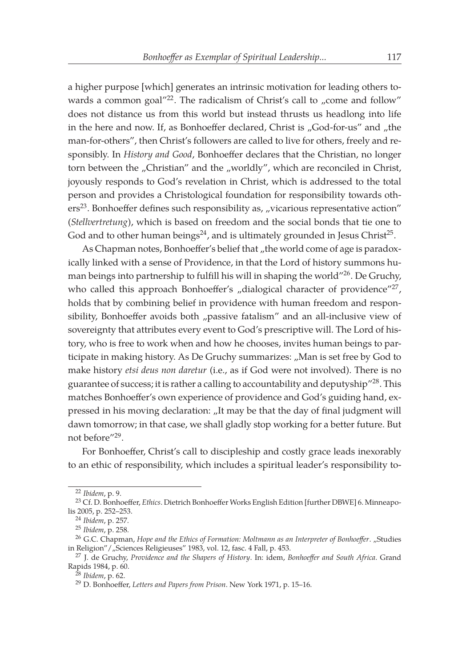a higher purpose [which] generates an intrinsic motivation for leading others towards a common goal $^{\prime\prime\prime\prime}2$ . The radicalism of Christ's call to "come and follow" does not distance us from this world but instead thrusts us headlong into life in the here and now. If, as Bonhoeffer declared, Christ is "God-for-us" and "the man-for-others", then Christ's followers are called to live for others, freely and responsibly. In *History and Good*, Bonhoeffer declares that the Christian, no longer torn between the "Christian" and the "worldly", which are reconciled in Christ, joyously responds to God's revelation in Christ, which is addressed to the total person and provides a Christological foundation for responsibility towards oth $ers<sup>23</sup>$ . Bonhoeffer defines such responsibility as, "vicarious representative action" (*Stellvertretung*), which is based on freedom and the social bonds that tie one to God and to other human beings<sup>24</sup>, and is ultimately grounded in Jesus Christ<sup>25</sup>.

As Chapman notes, Bonhoeffer's belief that "the world come of age is paradoxically linked with a sense of Providence, in that the Lord of history summons human beings into partnership to fulfill his will in shaping the world"26. De Gruchy, who called this approach Bonhoeffer's "dialogical character of providence"<sup>27</sup>, holds that by combining belief in providence with human freedom and responsibility, Bonhoeffer avoids both "passive fatalism" and an all-inclusive view of sovereignty that attributes every event to God's prescriptive will. The Lord of history, who is free to work when and how he chooses, invites human beings to participate in making history. As De Gruchy summarizes: "Man is set free by God to make history *etsi deus non daretur* (i.e., as if God were not involved). There is no guarantee of success; it is rather a calling to accountability and deputyship"28. This matches Bonhoeffer's own experience of providence and God's guiding hand, expressed in his moving declaration: "It may be that the day of final judgment will dawn tomorrow; in that case, we shall gladly stop working for a better future. But not before"29.

For Bonhoeffer, Christ's call to discipleship and costly grace leads inexorably to an ethic of responsibility, which includes a spiritual leader's responsibility to-

<sup>22</sup> *Ibidem*, p. 9.

<sup>23</sup> Cf. D. Bonhoeffer, *Ethics*. Dietrich Bonhoeffer Works English Edition [further DBWE] 6. Minneapolis 2005, p. 252–253.

<sup>24</sup> *Ibidem*, p. 257.

<sup>25</sup> *Ibidem*, p. 258.

<sup>&</sup>lt;sup>26</sup> G.C. Chapman, *Hope and the Ethics of Formation: Moltmann as an Interpreter of Bonhoeffer. "Studies* in Religion" / "Sciences Religieuses" 1983, vol. 12, fasc. 4 Fall, p. 453.

<sup>27</sup> J. de Gruchy, *Providence and the Shapers of History*. In: idem, *Bonhoeffer and South Africa*. Grand Rapids 1984, p. 60.

<sup>28</sup> *Ibidem*, p. 62.

<sup>29</sup> D. Bonhoeffer, *Letters and Papers from Prison*. New York 1971, p. 15–16.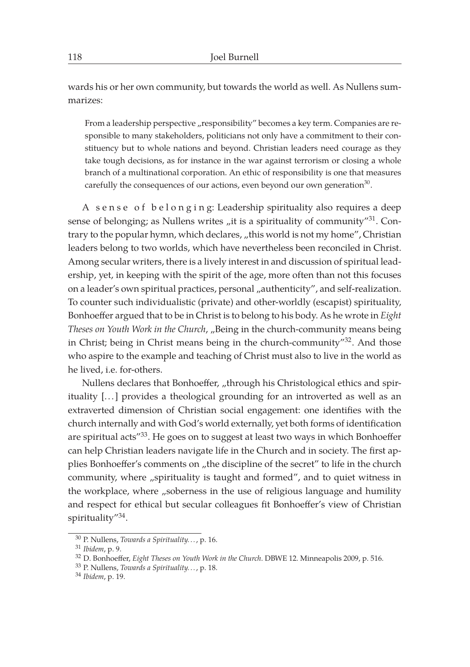wards his or her own community, but towards the world as well. As Nullens summarizes:

From a leadership perspective "responsibility" becomes a key term. Companies are responsible to many stakeholders, politicians not only have a commitment to their constituency but to whole nations and beyond. Christian leaders need courage as they take tough decisions, as for instance in the war against terrorism or closing a whole branch of a multinational corporation. An ethic of responsibility is one that measures carefully the consequences of our actions, even beyond our own generation<sup>30</sup>.

A sense of belonging: Leadership spirituality also requires a deep sense of belonging; as Nullens writes  $n$ it is a spirituality of community"<sup>31</sup>. Contrary to the popular hymn, which declares, "this world is not my home", Christian leaders belong to two worlds, which have nevertheless been reconciled in Christ. Among secular writers, there is a lively interest in and discussion of spiritual leadership, yet, in keeping with the spirit of the age, more often than not this focuses on a leader's own spiritual practices, personal "authenticity", and self-realization. To counter such individualistic (private) and other-worldly (escapist) spirituality, Bonhoeffer argued that to be in Christ is to belong to his body. As he wrote in *Eight Theses on Youth Work in the Church, "Being in the church-community means being* in Christ; being in Christ means being in the church-community" $32$ . And those who aspire to the example and teaching of Christ must also to live in the world as he lived, i.e. for-others.

Nullens declares that Bonhoeffer, "through his Christological ethics and spirituality [... ] provides a theological grounding for an introverted as well as an extraverted dimension of Christian social engagement: one identifies with the church internally and with God's world externally, yet both forms of identification are spiritual acts<sup>733</sup>. He goes on to suggest at least two ways in which Bonhoeffer can help Christian leaders navigate life in the Church and in society. The first applies Bonhoeffer's comments on , the discipline of the secret" to life in the church community, where "spirituality is taught and formed", and to quiet witness in the workplace, where "soberness in the use of religious language and humility and respect for ethical but secular colleagues fit Bonhoeffer's view of Christian spirituality"34.

<sup>30</sup> P. Nullens, *Towards a Spirituality. . .*, p. 16.

<sup>31</sup> *Ibidem*, p. 9.

<sup>32</sup> D. Bonhoeffer, *Eight Theses on Youth Work in the Church*. DBWE 12. Minneapolis 2009, p. 516.

<sup>33</sup> P. Nullens, *Towards a Spirituality. . .*, p. 18.

<sup>34</sup> *Ibidem*, p. 19.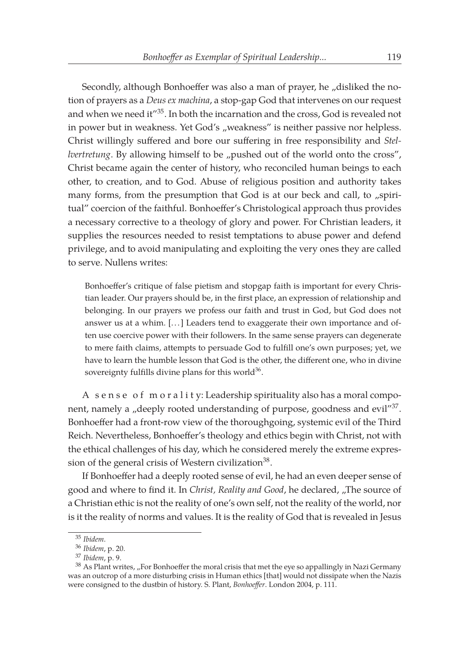Secondly, although Bonhoeffer was also a man of prayer, he "disliked the notion of prayers as a *Deus ex machina*, a stop-gap God that intervenes on our request and when we need it<sup>"35</sup>. In both the incarnation and the cross, God is revealed not in power but in weakness. Yet God's "weakness" is neither passive nor helpless. Christ willingly suffered and bore our suffering in free responsibility and *Stellvertretung*. By allowing himself to be "pushed out of the world onto the cross", Christ became again the center of history, who reconciled human beings to each other, to creation, and to God. Abuse of religious position and authority takes many forms, from the presumption that God is at our beck and call, to "spiritual" coercion of the faithful. Bonhoeffer's Christological approach thus provides a necessary corrective to a theology of glory and power. For Christian leaders, it supplies the resources needed to resist temptations to abuse power and defend privilege, and to avoid manipulating and exploiting the very ones they are called to serve. Nullens writes:

Bonhoeffer's critique of false pietism and stopgap faith is important for every Christian leader. Our prayers should be, in the first place, an expression of relationship and belonging. In our prayers we profess our faith and trust in God, but God does not answer us at a whim. [...] Leaders tend to exaggerate their own importance and often use coercive power with their followers. In the same sense prayers can degenerate to mere faith claims, attempts to persuade God to fulfill one's own purposes; yet, we have to learn the humble lesson that God is the other, the different one, who in divine sovereignty fulfills divine plans for this world $36$ .

A sense of m or a l i t y: Leadership spirituality also has a moral component, namely a "deeply rooted understanding of purpose, goodness and evil<sup> $n37$ </sup>. Bonhoeffer had a front-row view of the thoroughgoing, systemic evil of the Third Reich. Nevertheless, Bonhoeffer's theology and ethics begin with Christ, not with the ethical challenges of his day, which he considered merely the extreme expression of the general crisis of Western civilization<sup>38</sup>.

If Bonhoeffer had a deeply rooted sense of evil, he had an even deeper sense of good and where to find it. In *Christ, Reality and Good*, he declared, "The source of a Christian ethic is not the reality of one's own self, not the reality of the world, nor is it the reality of norms and values. It is the reality of God that is revealed in Jesus

<sup>35</sup> *Ibidem*.

<sup>36</sup> *Ibidem*, p. 20.

<sup>37</sup> *Ibidem*, p. 9.

<sup>&</sup>lt;sup>38</sup> As Plant writes, "For Bonhoeffer the moral crisis that met the eye so appallingly in Nazi Germany was an outcrop of a more disturbing crisis in Human ethics [that] would not dissipate when the Nazis were consigned to the dustbin of history. S. Plant, *Bonhoeffer*. London 2004, p. 111.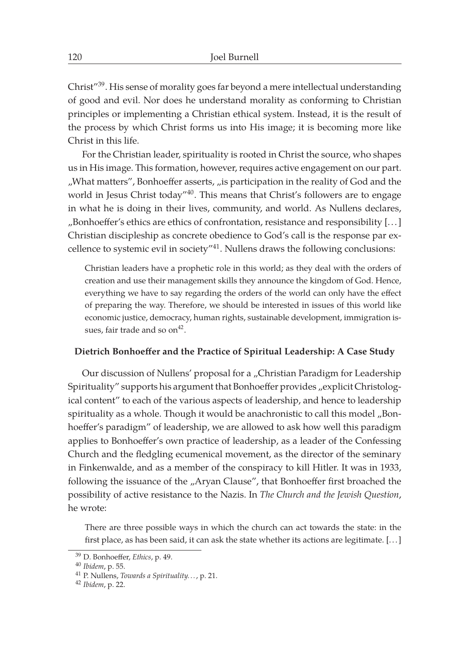Christ"39. His sense of morality goes far beyond a mere intellectual understanding of good and evil. Nor does he understand morality as conforming to Christian principles or implementing a Christian ethical system. Instead, it is the result of the process by which Christ forms us into His image; it is becoming more like Christ in this life.

For the Christian leader, spirituality is rooted in Christ the source, who shapes us in His image. This formation, however, requires active engagement on our part. "What matters", Bonhoeffer asserts, "is participation in the reality of God and the world in Jesus Christ today<sup>140</sup>. This means that Christ's followers are to engage in what he is doing in their lives, community, and world. As Nullens declares, "Bonhoeffer's ethics are ethics of confrontation, resistance and responsibility [...] Christian discipleship as concrete obedience to God's call is the response par excellence to systemic evil in society"41. Nullens draws the following conclusions:

Christian leaders have a prophetic role in this world; as they deal with the orders of creation and use their management skills they announce the kingdom of God. Hence, everything we have to say regarding the orders of the world can only have the effect of preparing the way. Therefore, we should be interested in issues of this world like economic justice, democracy, human rights, sustainable development, immigration issues, fair trade and so  $on<sup>42</sup>$ .

## **Dietrich Bonhoeffer and the Practice of Spiritual Leadership: A Case Study**

Our discussion of Nullens' proposal for a "Christian Paradigm for Leadership Spirituality" supports his argument that Bonhoeffer provides "explicit Christological content" to each of the various aspects of leadership, and hence to leadership spirituality as a whole. Though it would be anachronistic to call this model "Bonhoeffer's paradigm" of leadership, we are allowed to ask how well this paradigm applies to Bonhoeffer's own practice of leadership, as a leader of the Confessing Church and the fledgling ecumenical movement, as the director of the seminary in Finkenwalde, and as a member of the conspiracy to kill Hitler. It was in 1933, following the issuance of the "Aryan Clause", that Bonhoeffer first broached the possibility of active resistance to the Nazis. In *The Church and the Jewish Question*, he wrote:

There are three possible ways in which the church can act towards the state: in the first place, as has been said, it can ask the state whether its actions are legitimate. [...]

<sup>39</sup> D. Bonhoeffer, *Ethics*, p. 49.

<sup>40</sup> *Ibidem*, p. 55.

<sup>41</sup> P. Nullens, *Towards a Spirituality. . .*, p. 21.

<sup>42</sup> *Ibidem*, p. 22.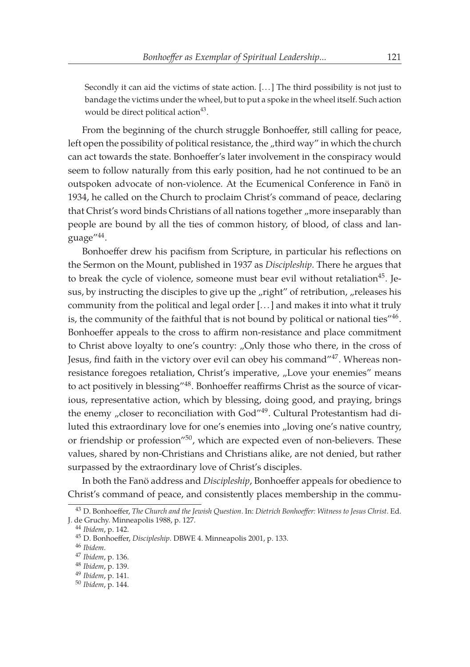Secondly it can aid the victims of state action. [... ] The third possibility is not just to bandage the victims under the wheel, but to put a spoke in the wheel itself. Such action would be direct political action<sup>43</sup>.

From the beginning of the church struggle Bonhoeffer, still calling for peace, left open the possibility of political resistance, the "third way" in which the church can act towards the state. Bonhoeffer's later involvement in the conspiracy would seem to follow naturally from this early position, had he not continued to be an outspoken advocate of non-violence. At the Ecumenical Conference in Fanö in 1934, he called on the Church to proclaim Christ's command of peace, declaring that Christ's word binds Christians of all nations together "more inseparably than people are bound by all the ties of common history, of blood, of class and language"44.

Bonhoeffer drew his pacifism from Scripture, in particular his reflections on the Sermon on the Mount, published in 1937 as *Discipleship*. There he argues that to break the cycle of violence, someone must bear evil without retaliation<sup>45</sup>. Jesus, by instructing the disciples to give up the "right" of retribution, "releases his community from the political and legal order [... ] and makes it into what it truly is, the community of the faithful that is not bound by political or national ties"<sup>46</sup>. Bonhoeffer appeals to the cross to affirm non-resistance and place commitment to Christ above loyalty to one's country: "Only those who there, in the cross of Jesus, find faith in the victory over evil can obey his command"47. Whereas nonresistance foregoes retaliation, Christ's imperative, "Love your enemies" means to act positively in blessing"48. Bonhoeffer reaffirms Christ as the source of vicarious, representative action, which by blessing, doing good, and praying, brings the enemy  $n$ closer to reconciliation with God<sup> $n$ 49</sup>. Cultural Protestantism had diluted this extraordinary love for one's enemies into "loving one's native country, or friendship or profession"<sup>50</sup>, which are expected even of non-believers. These values, shared by non-Christians and Christians alike, are not denied, but rather surpassed by the extraordinary love of Christ's disciples.

In both the Fanö address and *Discipleship*, Bonhoeffer appeals for obedience to Christ's command of peace, and consistently places membership in the commu-

<sup>43</sup> D. Bonhoeffer, *The Church and the Jewish Question*. In: *Dietrich Bonhoeffer: Witness to Jesus Christ*. Ed. J. de Gruchy. Minneapolis 1988, p. 127.

<sup>44</sup> *Ibidem*, p. 142.

<sup>45</sup> D. Bonhoeffer, *Discipleship*. DBWE 4. Minneapolis 2001, p. 133.

<sup>46</sup> *Ibidem*.

<sup>47</sup> *Ibidem*, p. 136.

<sup>48</sup> *Ibidem*, p. 139.

<sup>49</sup> *Ibidem*, p. 141.

<sup>50</sup> *Ibidem*, p. 144.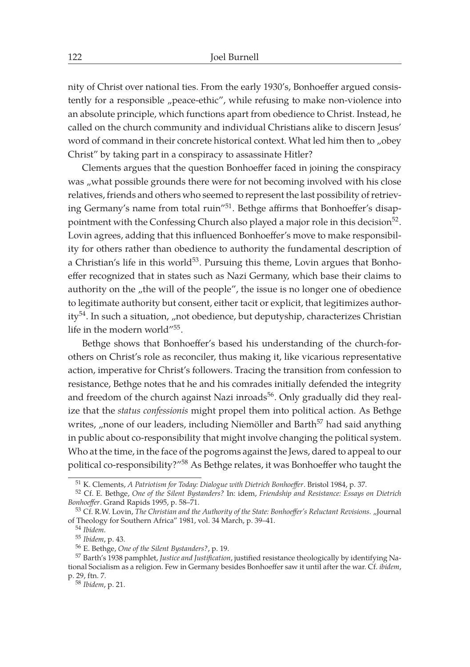nity of Christ over national ties. From the early 1930's, Bonhoeffer argued consistently for a responsible "peace-ethic", while refusing to make non-violence into an absolute principle, which functions apart from obedience to Christ. Instead, he called on the church community and individual Christians alike to discern Jesus' word of command in their concrete historical context. What led him then to "obey Christ" by taking part in a conspiracy to assassinate Hitler?

Clements argues that the question Bonhoeffer faced in joining the conspiracy was "what possible grounds there were for not becoming involved with his close relatives, friends and others who seemed to represent the last possibility of retrieving Germany's name from total ruin"<sup>51</sup>. Bethge affirms that Bonhoeffer's disappointment with the Confessing Church also played a major role in this decision $52$ . Lovin agrees, adding that this influenced Bonhoeffer's move to make responsibility for others rather than obedience to authority the fundamental description of a Christian's life in this world<sup>53</sup>. Pursuing this theme, Lovin argues that Bonhoeffer recognized that in states such as Nazi Germany, which base their claims to authority on the "the will of the people", the issue is no longer one of obedience to legitimate authority but consent, either tacit or explicit, that legitimizes authority<sup>54</sup>. In such a situation, "not obedience, but deputyship, characterizes Christian life in the modern world"55.

Bethge shows that Bonhoeffer's based his understanding of the church-forothers on Christ's role as reconciler, thus making it, like vicarious representative action, imperative for Christ's followers. Tracing the transition from confession to resistance, Bethge notes that he and his comrades initially defended the integrity and freedom of the church against Nazi inroads<sup>56</sup>. Only gradually did they realize that the *status confessionis* might propel them into political action. As Bethge writes, , none of our leaders, including Niemöller and Barth $57$  had said anything in public about co-responsibility that might involve changing the political system. Who at the time, in the face of the pogroms against the Jews, dared to appeal to our political co-responsibility?"<sup>58</sup> As Bethge relates, it was Bonhoeffer who taught the

<sup>56</sup> E. Bethge, *One of the Silent Bystanders?*, p. 19.

<sup>51</sup> K. Clements, *A Patriotism for Today: Dialogue with Dietrich Bonhoeffer*. Bristol 1984, p. 37.

<sup>52</sup> Cf. E. Bethge, *One of the Silent Bystanders?* In: idem, *Friendship and Resistance: Essays on Dietrich Bonhoeffer*. Grand Rapids 1995, p. 58–71.

<sup>53</sup> Cf. R.W. Lovin, *The Christian and the Authority of the State: Bonhoeffer's Reluctant Revisions.* "Journal of Theology for Southern Africa" 1981, vol. 34 March, p. 39–41.

<sup>54</sup> *Ibidem*.

<sup>55</sup> *Ibidem*, p. 43.

<sup>57</sup> Barth's 1938 pamphlet, *Justice and Justification*, justified resistance theologically by identifying National Socialism as a religion. Few in Germany besides Bonhoeffer saw it until after the war. Cf. *ibidem*, p. 29, ftn. 7.

<sup>58</sup> *Ibidem*, p. 21.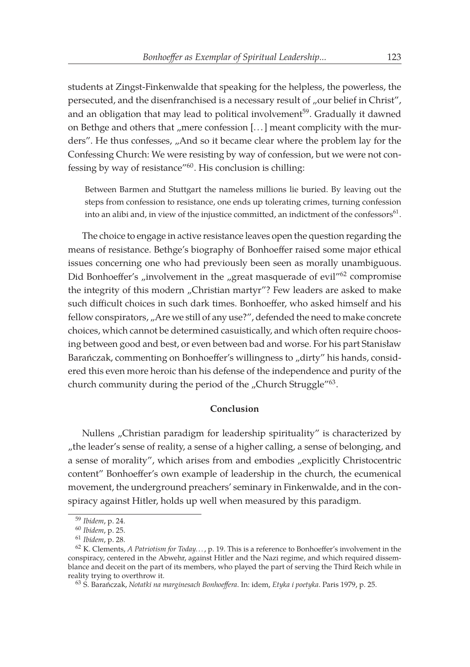students at Zingst-Finkenwalde that speaking for the helpless, the powerless, the persecuted, and the disenfranchised is a necessary result of "our belief in Christ", and an obligation that may lead to political involvement<sup>59</sup>. Gradually it dawned on Bethge and others that "mere confession  $[...]$  meant complicity with the murders". He thus confesses, "And so it became clear where the problem lay for the Confessing Church: We were resisting by way of confession, but we were not confessing by way of resistance"60. His conclusion is chilling:

Between Barmen and Stuttgart the nameless millions lie buried. By leaving out the steps from confession to resistance, one ends up tolerating crimes, turning confession into an alibi and, in view of the injustice committed, an indictment of the confessors $61$ .

The choice to engage in active resistance leaves open the question regarding the means of resistance. Bethge's biography of Bonhoeffer raised some major ethical issues concerning one who had previously been seen as morally unambiguous. Did Bonhoeffer's "involvement in the "great masquerade of evil<sup>"62</sup> compromise the integrity of this modern "Christian martyr"? Few leaders are asked to make such difficult choices in such dark times. Bonhoeffer, who asked himself and his fellow conspirators, "Are we still of any use?", defended the need to make concrete choices, which cannot be determined casuistically, and which often require choosing between good and best, or even between bad and worse. For his part Stanisław Barańczak, commenting on Bonhoeffer's willingness to "dirty" his hands, considered this even more heroic than his defense of the independence and purity of the church community during the period of the "Church Struggle" $63$ .

## **Conclusion**

Nullens "Christian paradigm for leadership spirituality" is characterized by "the leader's sense of reality, a sense of a higher calling, a sense of belonging, and a sense of morality", which arises from and embodies "explicitly Christocentric content" Bonhoeffer's own example of leadership in the church, the ecumenical movement, the underground preachers' seminary in Finkenwalde, and in the conspiracy against Hitler, holds up well when measured by this paradigm.

<sup>59</sup> *Ibidem*, p. 24.

<sup>60</sup> *Ibidem*, p. 25.

<sup>61</sup> *Ibidem*, p. 28.

<sup>62</sup> K. Clements, *A Patriotism for Today. . .* , p. 19. This is a reference to Bonhoeffer's involvement in the conspiracy, centered in the Abwehr, against Hitler and the Nazi regime, and which required dissemblance and deceit on the part of its members, who played the part of serving the Third Reich while in reality trying to overthrow it.

<sup>63</sup> S. Barańczak, *Notatki na marginesach Bonhoeffera*. In: idem, *Etyka i poetyka*. Paris 1979, p. 25.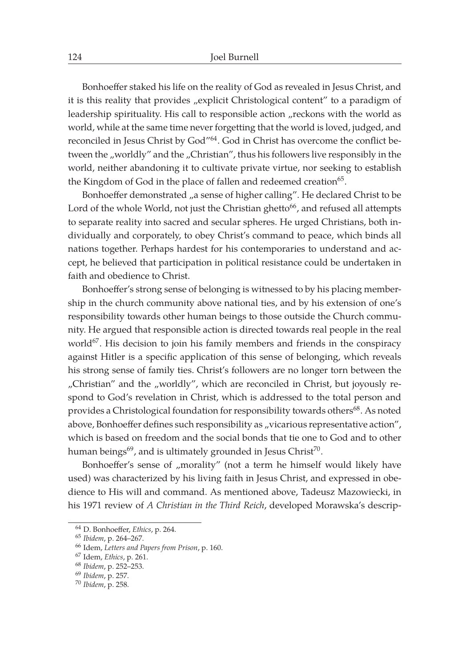Bonhoeffer staked his life on the reality of God as revealed in Jesus Christ, and it is this reality that provides "explicit Christological content" to a paradigm of leadership spirituality. His call to responsible action "reckons with the world as world, while at the same time never forgetting that the world is loved, judged, and reconciled in Jesus Christ by God"64. God in Christ has overcome the conflict between the "worldly" and the "Christian", thus his followers live responsibly in the world, neither abandoning it to cultivate private virtue, nor seeking to establish the Kingdom of God in the place of fallen and redeemed creation<sup>65</sup>.

Bonhoeffer demonstrated "a sense of higher calling". He declared Christ to be Lord of the whole World, not just the Christian ghetto<sup>66</sup>, and refused all attempts to separate reality into sacred and secular spheres. He urged Christians, both individually and corporately, to obey Christ's command to peace, which binds all nations together. Perhaps hardest for his contemporaries to understand and accept, he believed that participation in political resistance could be undertaken in faith and obedience to Christ.

Bonhoeffer's strong sense of belonging is witnessed to by his placing membership in the church community above national ties, and by his extension of one's responsibility towards other human beings to those outside the Church community. He argued that responsible action is directed towards real people in the real world $67$ . His decision to join his family members and friends in the conspiracy against Hitler is a specific application of this sense of belonging, which reveals his strong sense of family ties. Christ's followers are no longer torn between the "Christian" and the "worldly", which are reconciled in Christ, but joyously respond to God's revelation in Christ, which is addressed to the total person and provides a Christological foundation for responsibility towards others<sup>68</sup>. As noted above, Bonhoeffer defines such responsibility as "vicarious representative action", which is based on freedom and the social bonds that tie one to God and to other human beings $^{69}$ , and is ultimately grounded in Jesus Christ<sup>70</sup>.

Bonhoeffer's sense of "morality" (not a term he himself would likely have used) was characterized by his living faith in Jesus Christ, and expressed in obedience to His will and command. As mentioned above, Tadeusz Mazowiecki, in his 1971 review of *A Christian in the Third Reich*, developed Morawska's descrip-

<sup>64</sup> D. Bonhoeffer, *Ethics*, p. 264.

<sup>65</sup> *Ibidem*, p. 264–267.

<sup>66</sup> Idem, *Letters and Papers from Prison*, p. 160.

<sup>67</sup> Idem, *Ethics*, p. 261.

<sup>68</sup> *Ibidem*, p. 252–253.

<sup>69</sup> *Ibidem*, p. 257.

<sup>70</sup> *Ibidem*, p. 258.